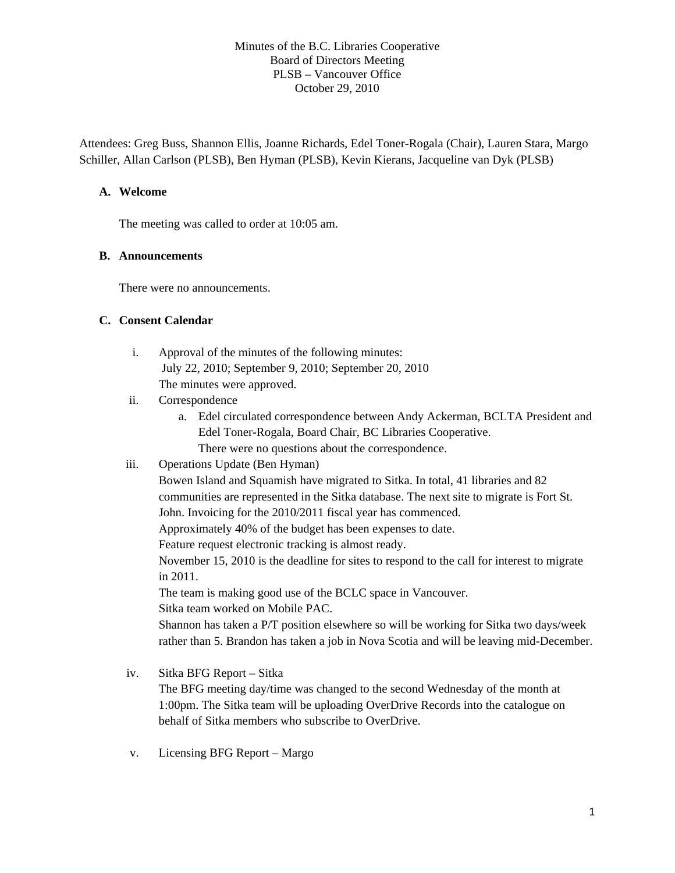Minutes of the B.C. Libraries Cooperative Board of Directors Meeting PLSB – Vancouver Office October 29, 2010

Attendees: Greg Buss, Shannon Ellis, Joanne Richards, Edel Toner-Rogala (Chair), Lauren Stara, Margo Schiller, Allan Carlson (PLSB), Ben Hyman (PLSB), Kevin Kierans, Jacqueline van Dyk (PLSB)

### **A. Welcome**

The meeting was called to order at 10:05 am.

#### **B. Announcements**

There were no announcements.

#### **C. Consent Calendar**

- i. Approval of the minutes of the following minutes: July 22, 2010; September 9, 2010; September 20, 2010 The minutes were approved.
- ii. Correspondence
	- a. Edel circulated correspondence between Andy Ackerman, BCLTA President and Edel Toner-Rogala, Board Chair, BC Libraries Cooperative. There were no questions about the correspondence.
- iii. Operations Update (Ben Hyman)

Bowen Island and Squamish have migrated to Sitka. In total, 41 libraries and 82 communities are represented in the Sitka database. The next site to migrate is Fort St. John. Invoicing for the 2010/2011 fiscal year has commenced.

Approximately 40% of the budget has been expenses to date.

Feature request electronic tracking is almost ready.

November 15, 2010 is the deadline for sites to respond to the call for interest to migrate in 2011.

The team is making good use of the BCLC space in Vancouver.

Sitka team worked on Mobile PAC.

Shannon has taken a P/T position elsewhere so will be working for Sitka two days/week rather than 5. Brandon has taken a job in Nova Scotia and will be leaving mid-December.

- iv. Sitka BFG Report Sitka The BFG meeting day/time was changed to the second Wednesday of the month at 1:00pm. The Sitka team will be uploading OverDrive Records into the catalogue on behalf of Sitka members who subscribe to OverDrive.
- v. Licensing BFG Report Margo